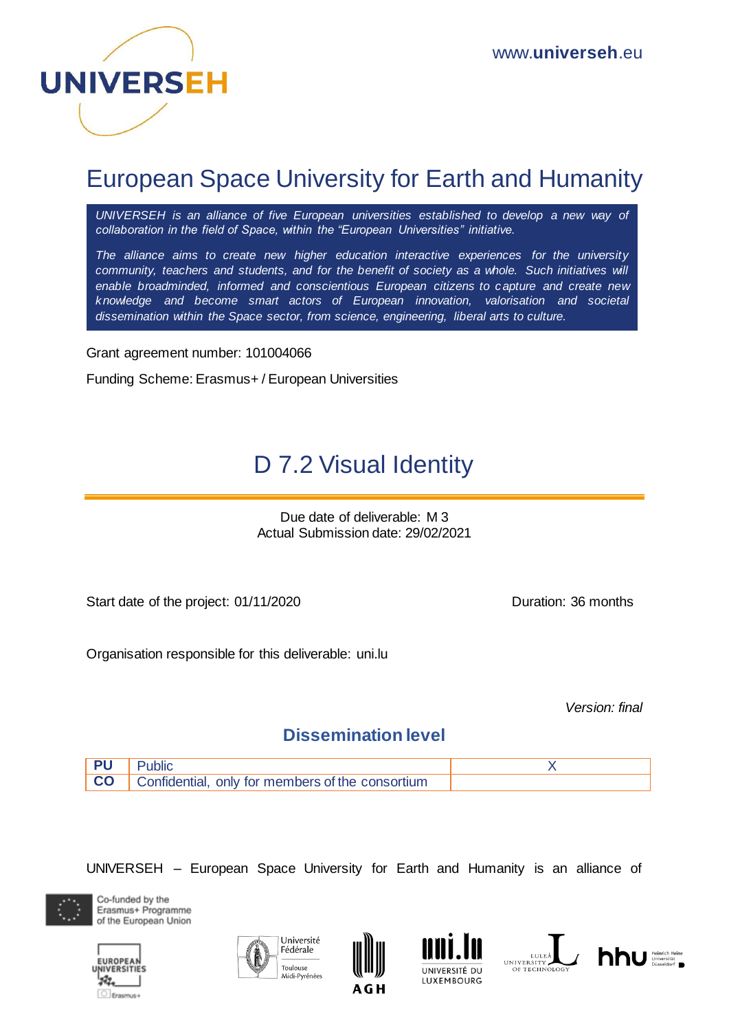

# European Space University for Earth and Humanity

*UNIVERSEH is an alliance of five European universities established to develop a new way of collaboration in the field of Space, within the "European Universities" initiative.*

*The alliance aims to create new higher education interactive experiences for the university community, teachers and students, and for the benefit of society as a whole. Such initiatives will enable broadminded, informed and conscientious European citizens to capture and create new knowledge and become smart actors of European innovation, valorisation and societal dissemination within the Space sector, from science, engineering, liberal arts to culture.*

Grant agreement number: 101004066

Funding Scheme: Erasmus+ / European Universities

# D 7.2 Visual Identity

Due date of deliverable: M 3 Actual Submission date: 29/02/2021

Start date of the project: 01/11/2020 Duration: 36 months

Organisation responsible for this deliverable: uni.lu

*Version: final*

#### **Dissemination level**



UNIVERSEH – European Space University for Earth and Humanity is an alliance of











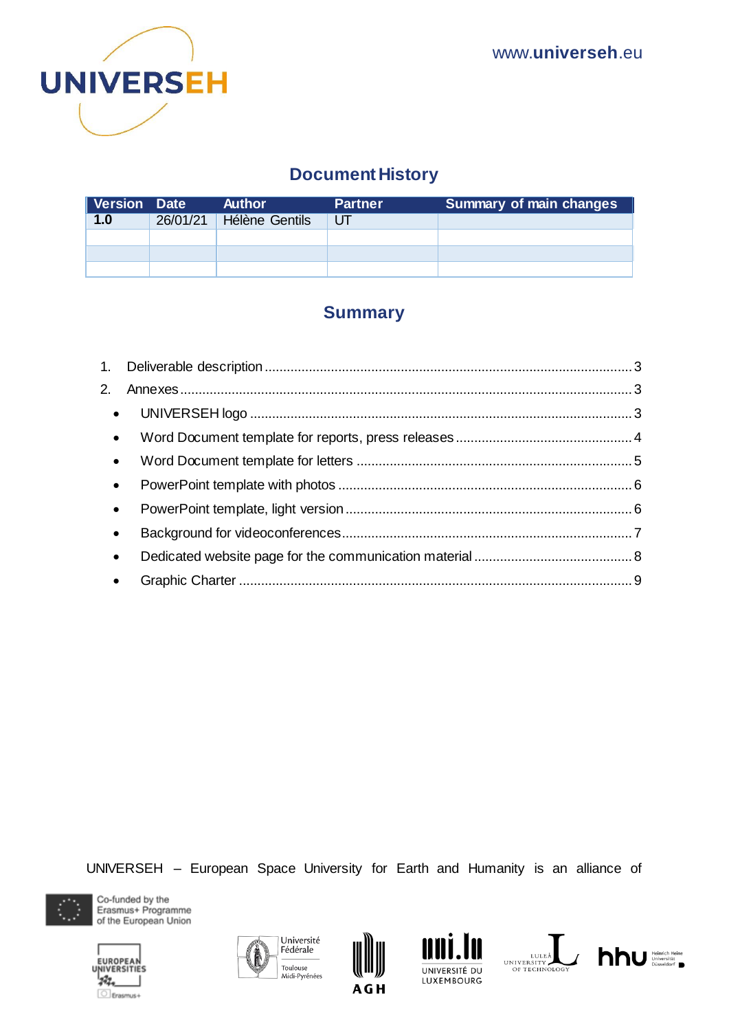

## **Document History**

| <b>Version Date</b> | Author                  | <b>Partner</b> | <b>Summary of main changes</b> |
|---------------------|-------------------------|----------------|--------------------------------|
| 1.0                 | 26/01/21 Hélène Gentils | UТ             |                                |
|                     |                         |                |                                |
|                     |                         |                |                                |
|                     |                         |                |                                |

### **Summary**

| $\bullet$ |  |
|-----------|--|
| $\bullet$ |  |
| $\bullet$ |  |
| $\bullet$ |  |
|           |  |
| $\bullet$ |  |
| $\bullet$ |  |
|           |  |

UNIVERSEH – European Space University for Earth and Humanity is an alliance of











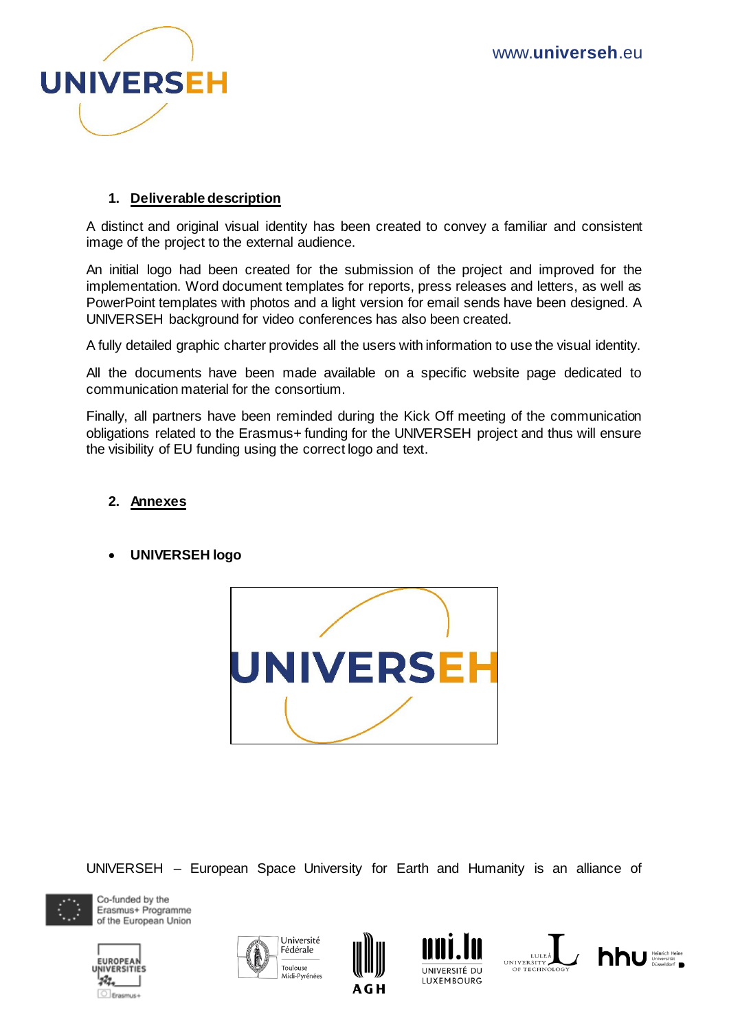

#### **1. Deliverable description**

<span id="page-2-0"></span>A distinct and original visual identity has been created to convey a familiar and consistent image of the project to the external audience.

An initial logo had been created for the submission of the project and improved for the implementation. Word document templates for reports, press releases and letters, as well as PowerPoint templates with photos and a light version for email sends have been designed. A UNIVERSEH background for video conferences has also been created.

A fully detailed graphic charter provides all the users with information to use the visual identity.

All the documents have been made available on a specific website page dedicated to communication material for the consortium.

Finally, all partners have been reminded during the Kick Off meeting of the communication obligations related to the Erasmus+ funding for the UNIVERSEH project and thus will ensure the visibility of EU funding using the correct logo and text.

#### <span id="page-2-1"></span>**2. Annexes**

<span id="page-2-2"></span>**UNIVERSEH logo**



UNIVERSEH – European Space University for Earth and Humanity is an alliance of













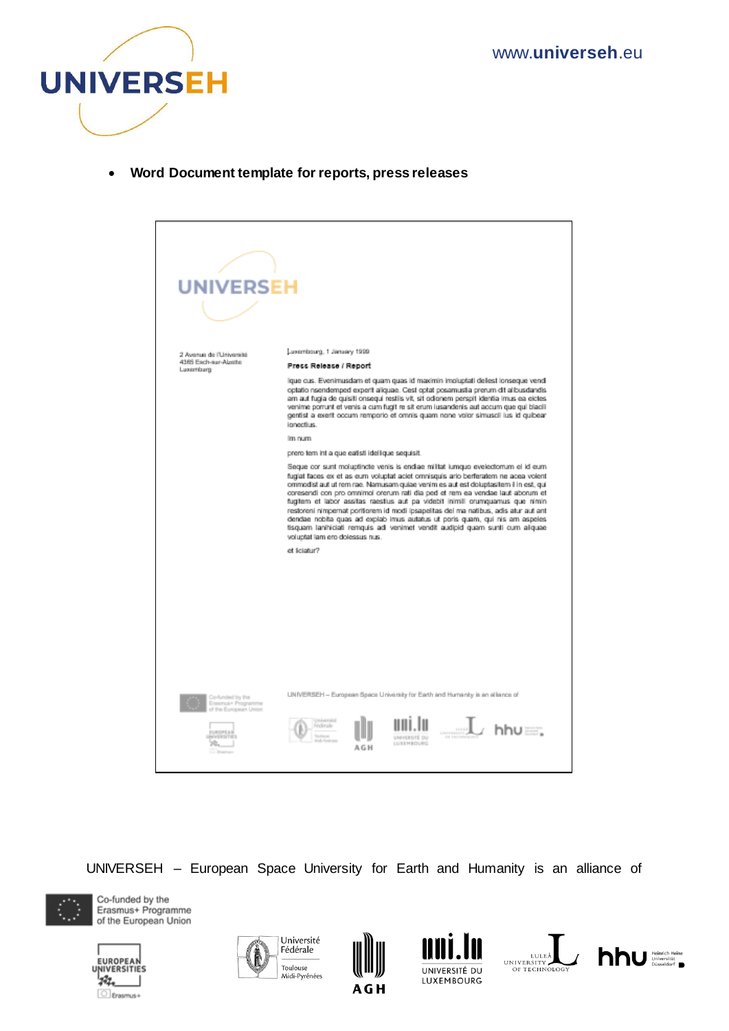

<span id="page-3-0"></span>**Word Document template for reports, press releases**



UNIVERSEH – European Space University for Earth and Humanity is an alliance of













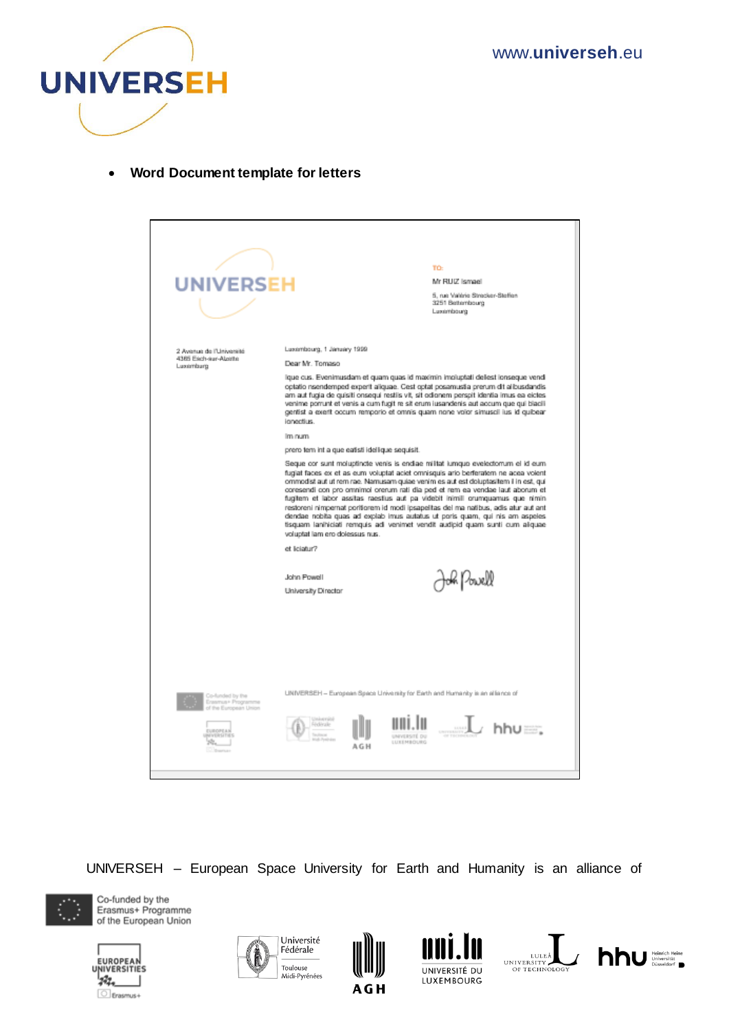

<span id="page-4-0"></span>**Word Document template for letters** 

| <b>UNIVERSEH</b>                                                    |                                                                                                                                                                                           | TO:<br>Mr RUIZ Ismael<br>5. rue Valèrie Strecker-Steffen<br>3251 Bettembourg<br>Luxembourg                                                                                                                                                                                                                                                                                                                                                                                                                                                                                                                                                                                                                                                                                                                                                                                                                                                                                                                                                                                                                                          |
|---------------------------------------------------------------------|-------------------------------------------------------------------------------------------------------------------------------------------------------------------------------------------|-------------------------------------------------------------------------------------------------------------------------------------------------------------------------------------------------------------------------------------------------------------------------------------------------------------------------------------------------------------------------------------------------------------------------------------------------------------------------------------------------------------------------------------------------------------------------------------------------------------------------------------------------------------------------------------------------------------------------------------------------------------------------------------------------------------------------------------------------------------------------------------------------------------------------------------------------------------------------------------------------------------------------------------------------------------------------------------------------------------------------------------|
| 2 Avenue de l'Université<br>4385 Each-aur-Abatte<br>Luxemburg       | Luxembourg, 1 January 1999<br>Dear Mr. Tomaso<br>ionectius.<br>Im num<br>prero tem int a que eatisti idellique sequisit.<br>voluptat lam ero dolessus nus.<br>et liciatur?<br>John Powell | ique cus. Evenimusdam et quam quas id maximin imoluptati delest ionseque vendi<br>optatio nsendemped experit aliquae. Cest optat posamustia prerum dit alibusdandis<br>am aut fugia de quisiti onsegui restiis vit, sit odionem perspit identia imus ea eicles<br>venime porrunt et venis a cum fugit re sit erum iusandenis aut accum que qui biacili<br>gentist a exert occum remporio et omnis quam none volor simuscil ius id quibear<br>Seque cor sunt moluptincte venis is endiae militat lumquo evelectorrum el id eum<br>fugiat faces ex et as eum voluptat aciet omnisquis ario berferatem ne acea volent<br>ommodist aut ut rem rae. Namusam quiae venim es aut est doluptasitem il in est, qui<br>coresendi con pro omnimol orerum rati dia ped et rem ea vendae laut aborum et<br>fugitem et labor assitas raestius aut pa videbit inimili orumquamus que nimin<br>restoreni nimpernat poritorem id modi ipsapelitas del ma natibus, adis atur aut anti<br>dendae nobita quas ad explab imus autatus ut poris quam, qui nis am aspeles<br>tisquam lanihiciati remquis adi venimet vendit audipid quam sunti cum aliquae |
| Co-funded by the<br>Ensemps Program<br>of that Elizabetakan Linizun | University Director<br>Gelérale                                                                                                                                                           | k Powell<br>UNIVERSEH - European Space University for Earth and Humanity is an alliance of<br><sub>.</sub> ∴…l hhu<br><b>INVERSITÉ DI</b><br>LETTERARCHES                                                                                                                                                                                                                                                                                                                                                                                                                                                                                                                                                                                                                                                                                                                                                                                                                                                                                                                                                                           |

UNIVERSEH – European Space University for Earth and Humanity is an alliance of













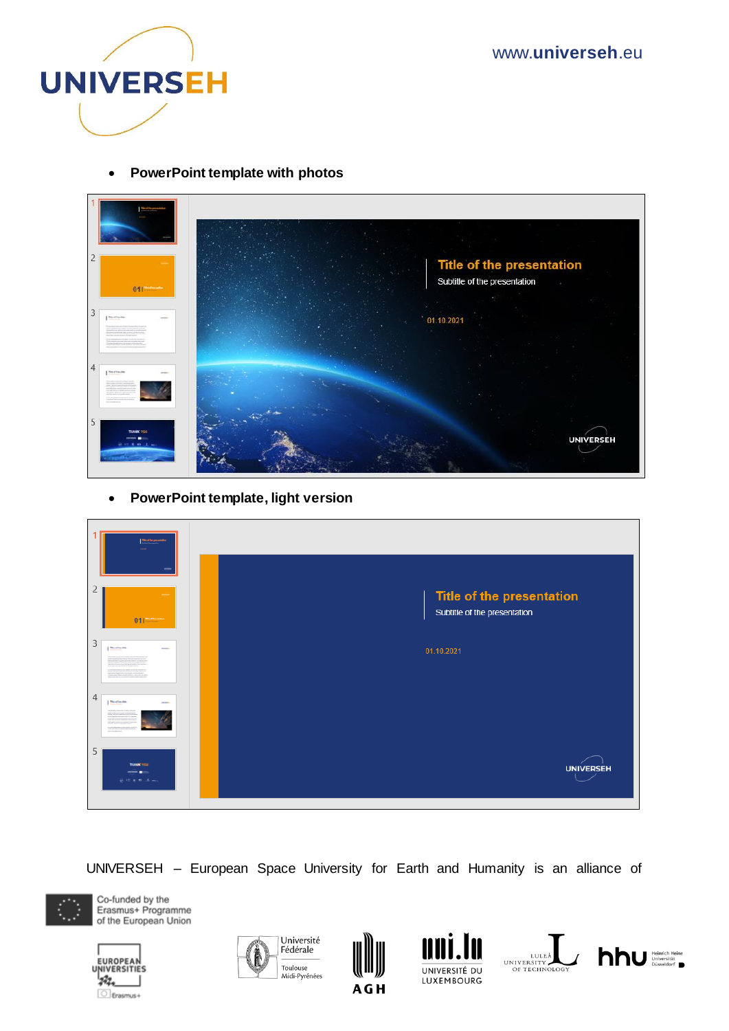www.**universeh**.eu



**PowerPoint template with photos** 

<span id="page-5-0"></span>

**PowerPoint template, light version** 

<span id="page-5-1"></span>

| <b>Mark Exceptionalists</b>             |                                                           |
|-----------------------------------------|-----------------------------------------------------------|
| 2<br>$01$ $\frac{1}{2}$                 | Title of the presentation<br>Subtitle of the presentation |
| 3<br><b>Medianik</b><br><b>COLORADO</b> | 01.10.2021                                                |
| 4<br><b>Mard Incolas</b><br>$-$         |                                                           |
| 5<br><b>TOANN' VOLU</b><br>医现在性结晶       | <b>UNIVERSEH</b>                                          |

UNIVERSEH – European Space University for Earth and Humanity is an alliance of











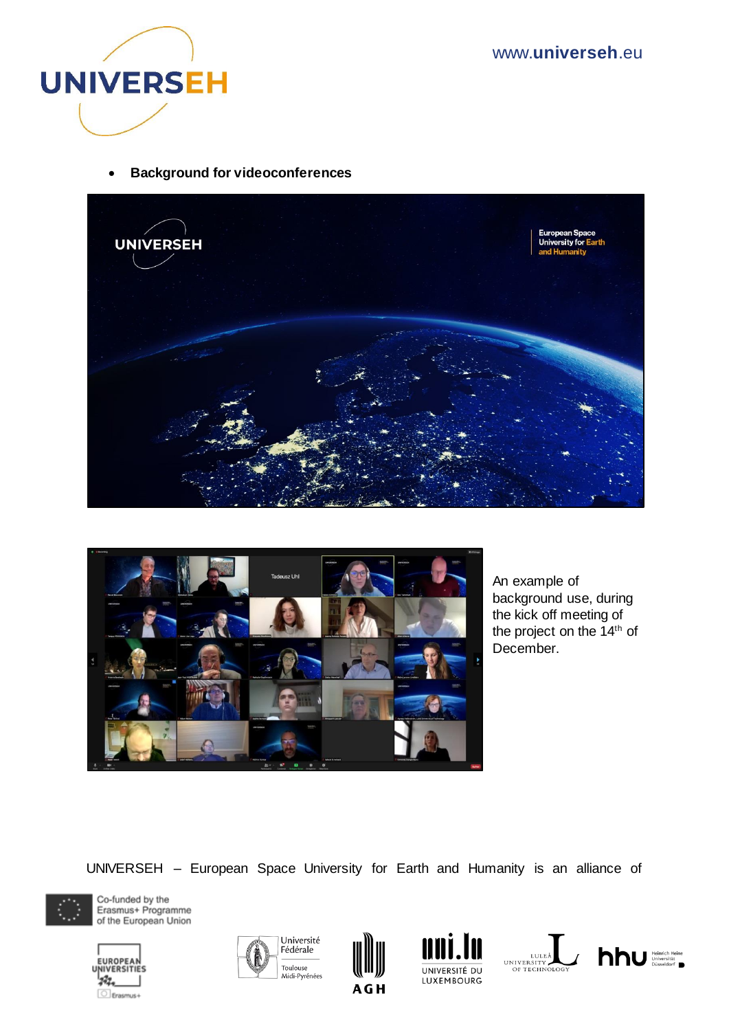

**Background for videoconferences**

<span id="page-6-0"></span>



An example of background use, during the kick off meeting of the project on the 14<sup>th</sup> of December.

UNIVERSEH – European Space University for Earth and Humanity is an alliance of













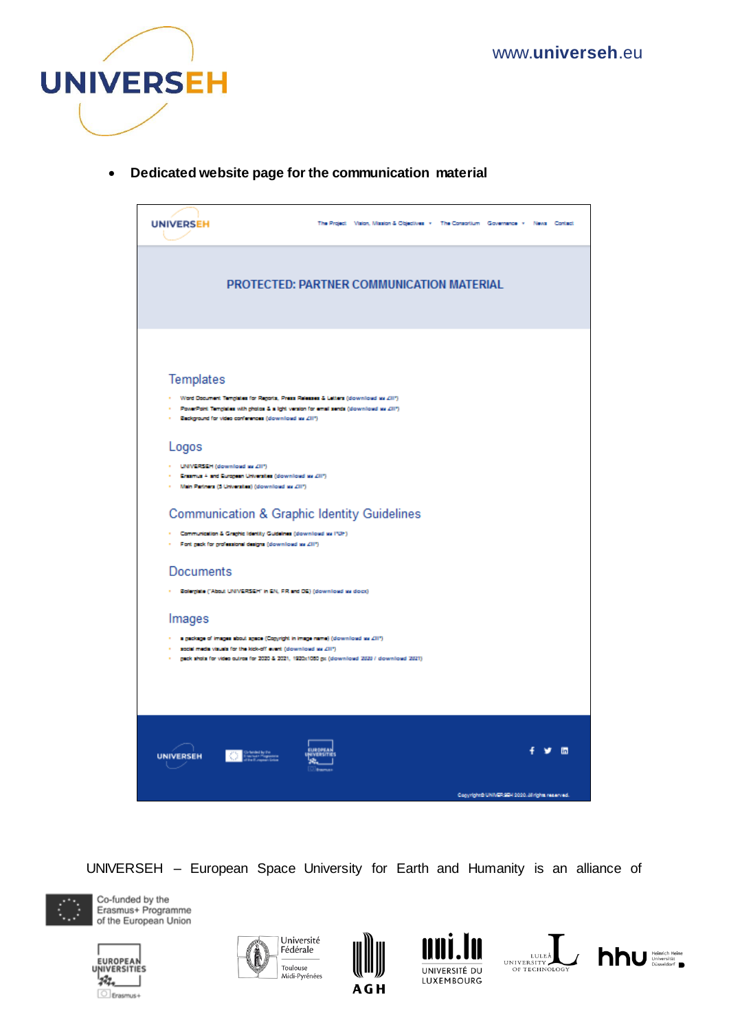

<span id="page-7-0"></span>**Dedicated website page for the communication material** 



UNIVERSEH – European Space University for Earth and Humanity is an alliance of













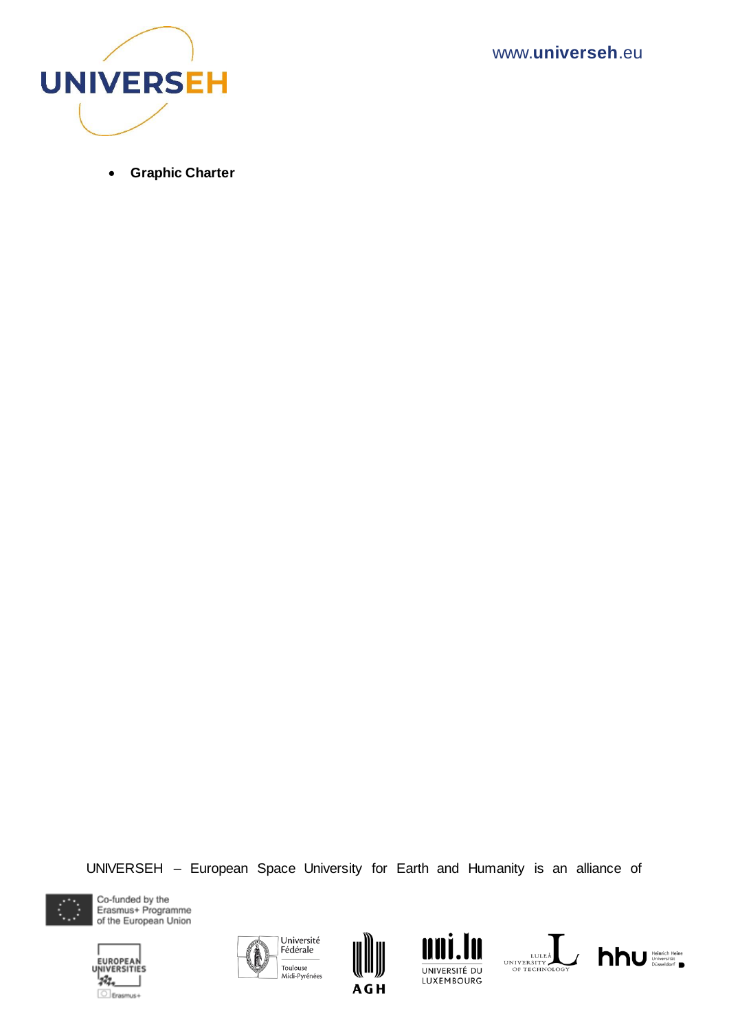www.**universeh**.eu



<span id="page-8-0"></span>**Graphic Charter**

UNIVERSEH – European Space University for Earth and Humanity is an alliance of













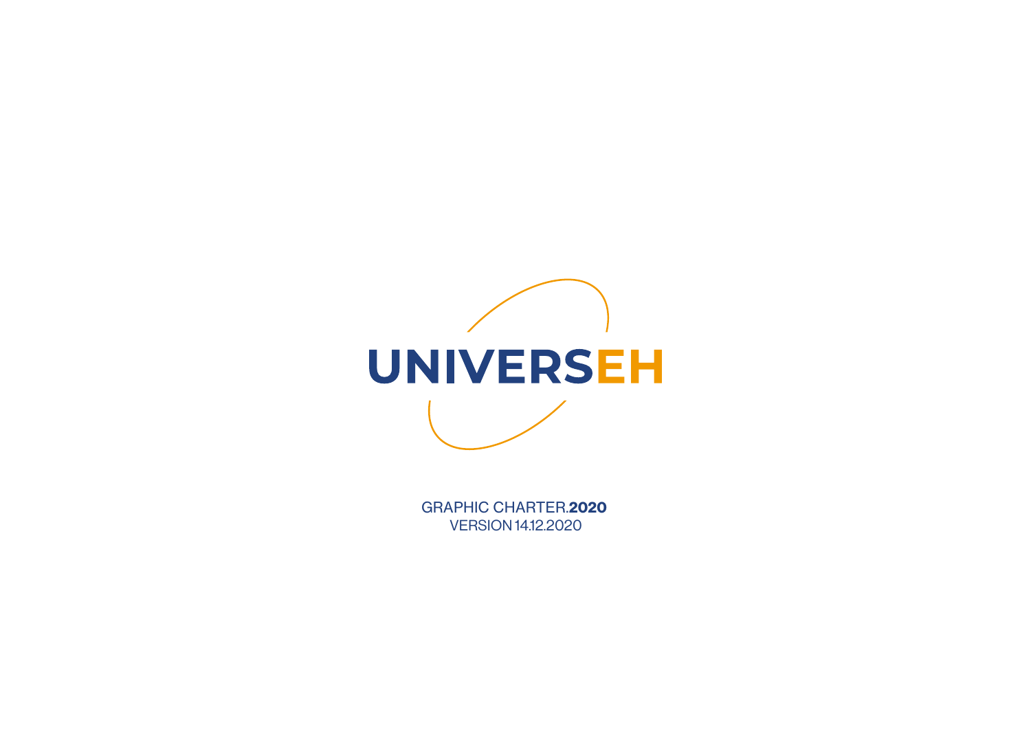

GRAPHIC CHARTER.**2020** VERSION 14.12.2020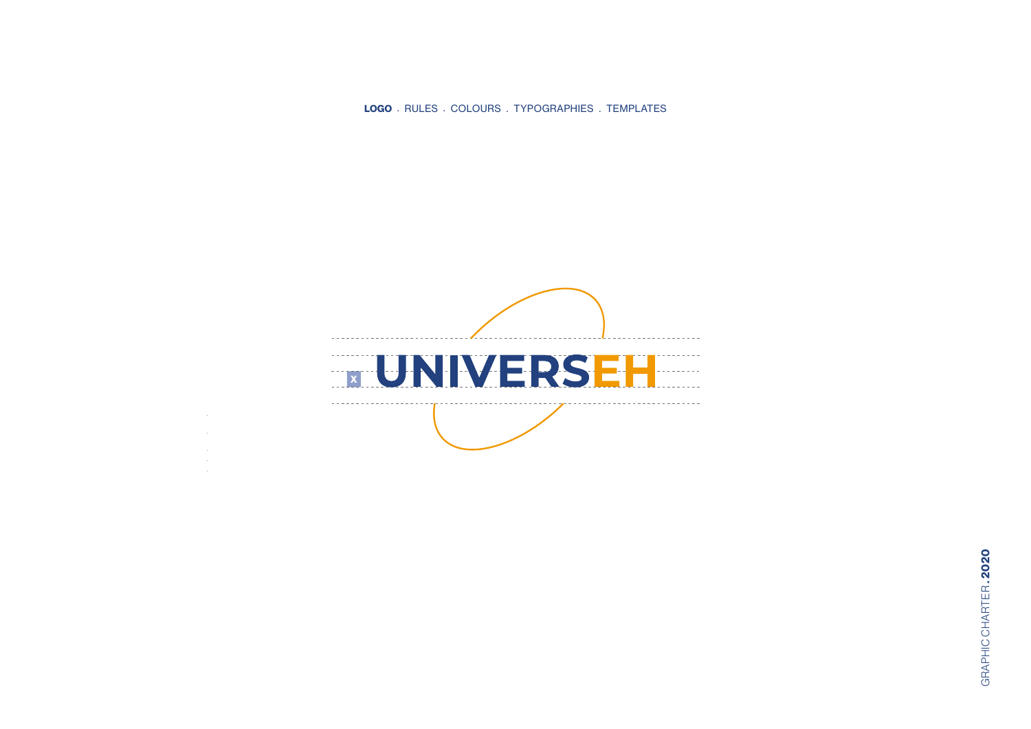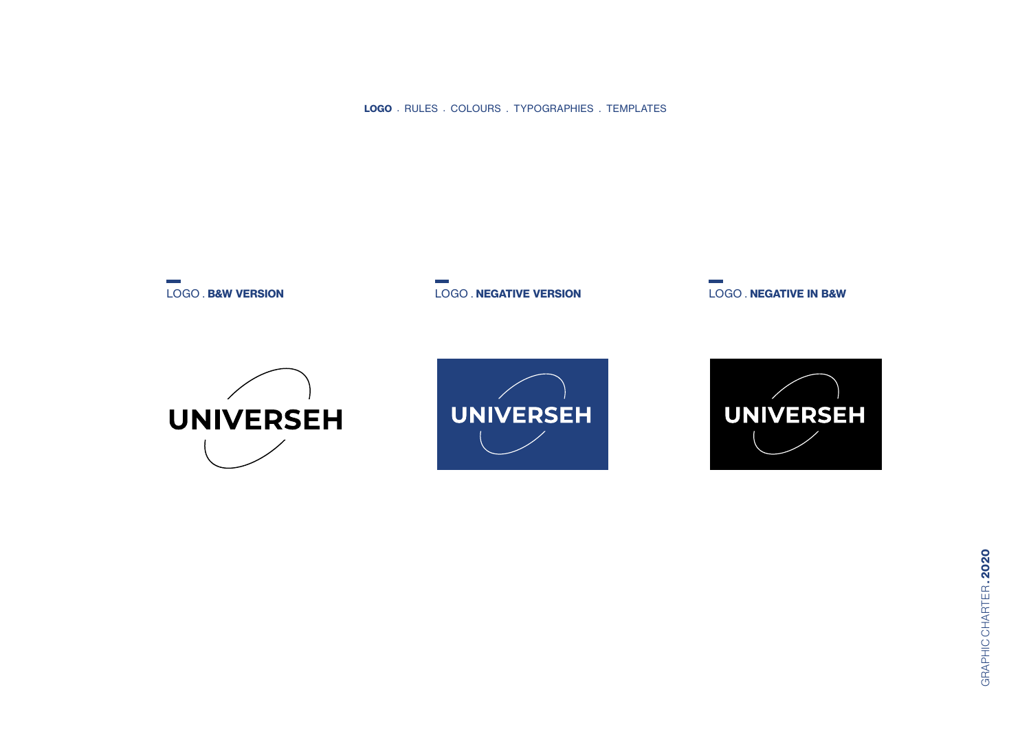

LOGO . **B&W VERSION** LOGO . **NEGATIVE VERSION** LOGO . **NEGATIVE IN B&W**





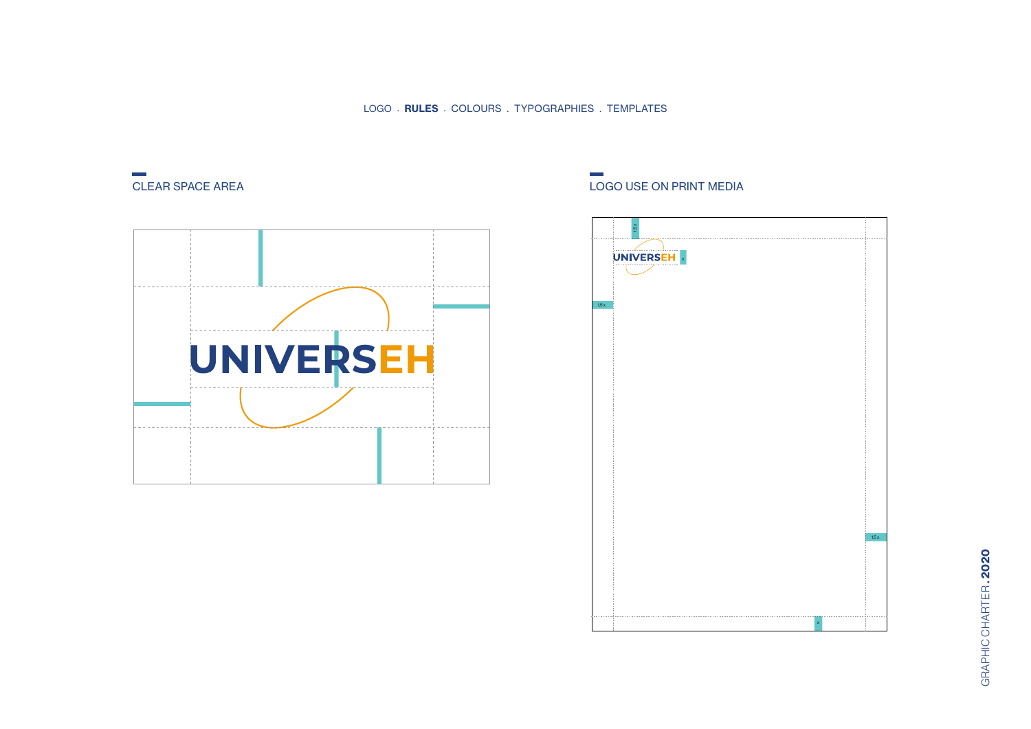



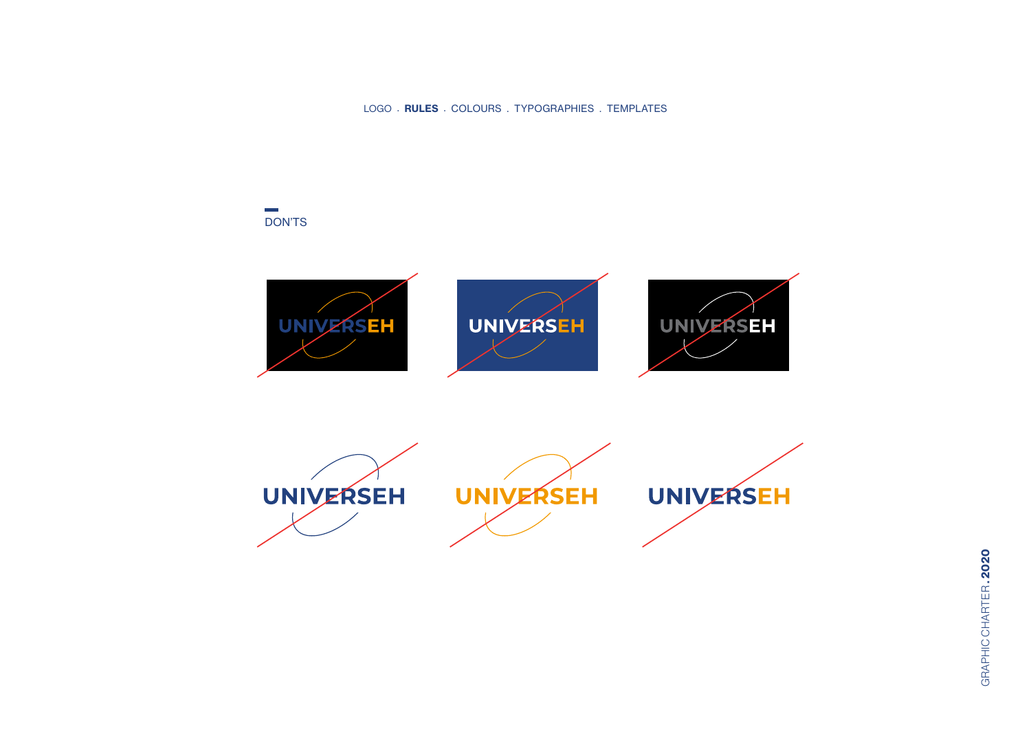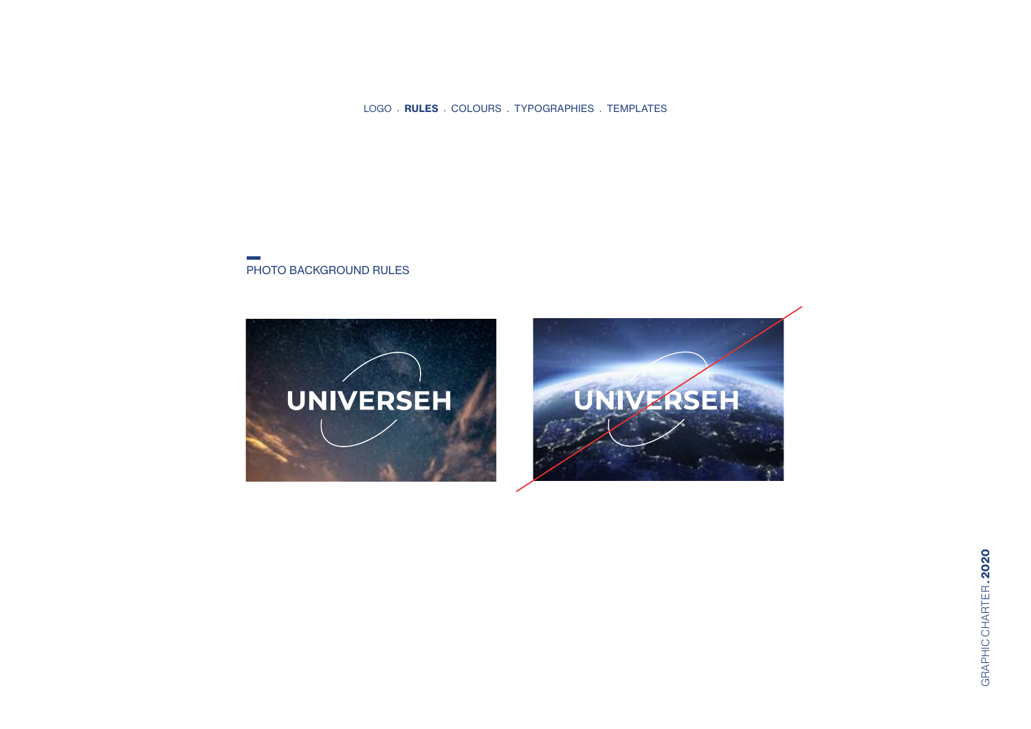#### PHOTO BACKGROUND RULES

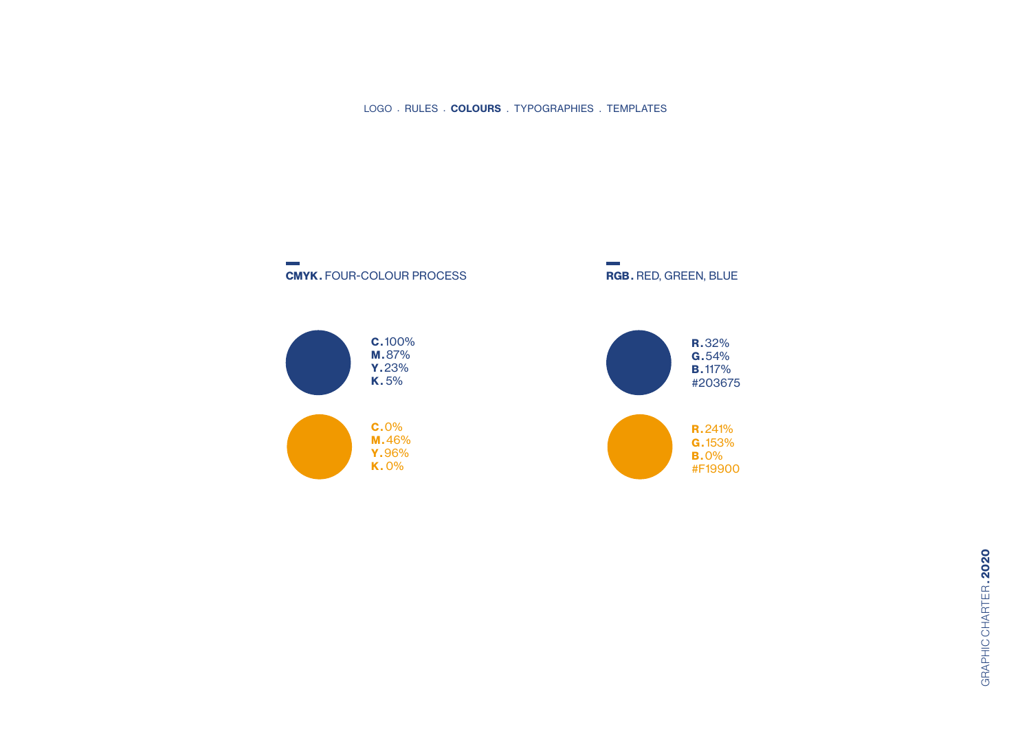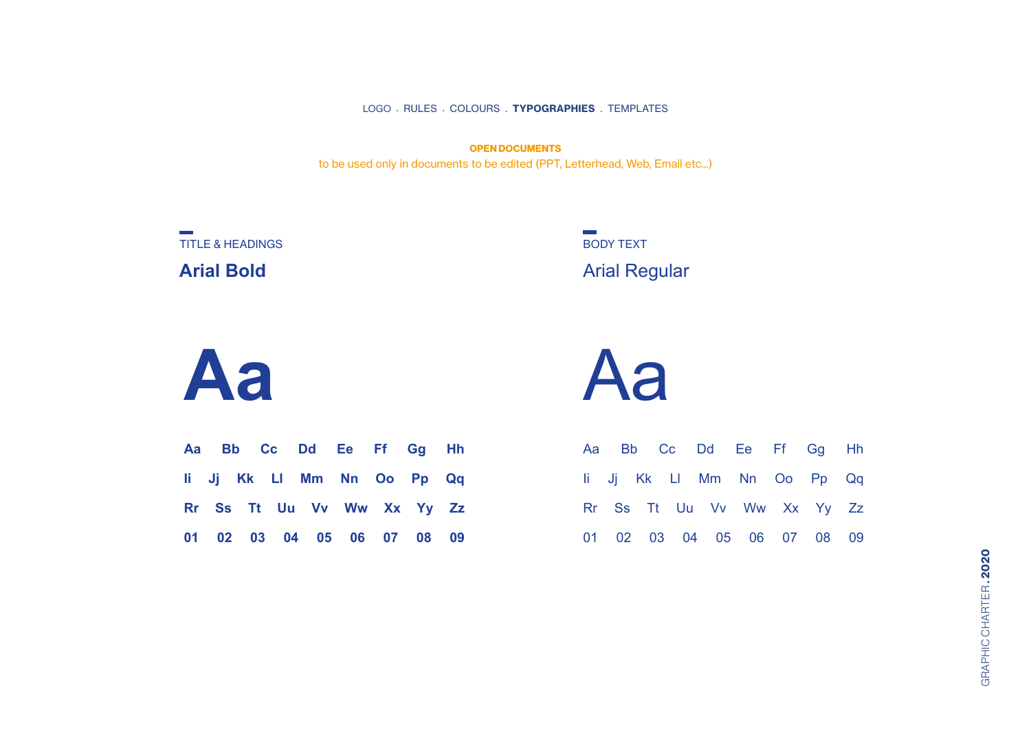**OPEN DOCUMENTS** to be used only in documents to be edited (PPT, Letterhead, Web, Email etc...)

TITLE & HEADINGS **Arial Bold**

Arial Regular BODY TEXT

**Aa**

|  |  |  | Aa Bb Cc Dd Ee Ff Gg Hh    |  |
|--|--|--|----------------------------|--|
|  |  |  | li Jj Kk Ll Mm Nn Oo Pp Qq |  |
|  |  |  | Rr Ss Tt Uu Vv Ww Xx Yy Zz |  |
|  |  |  | 01 02 03 04 05 06 07 08 09 |  |

Aa

|  |  |  |  | Aa Bb Cc Dd Ee Ff Gg Hh    |  |
|--|--|--|--|----------------------------|--|
|  |  |  |  | li Jj Kk Ll Mm Nn Oo Pp Qq |  |
|  |  |  |  | Rr Ss Tt Uu Vv Ww Xx Yy Zz |  |
|  |  |  |  | 01 02 03 04 05 06 07 08 09 |  |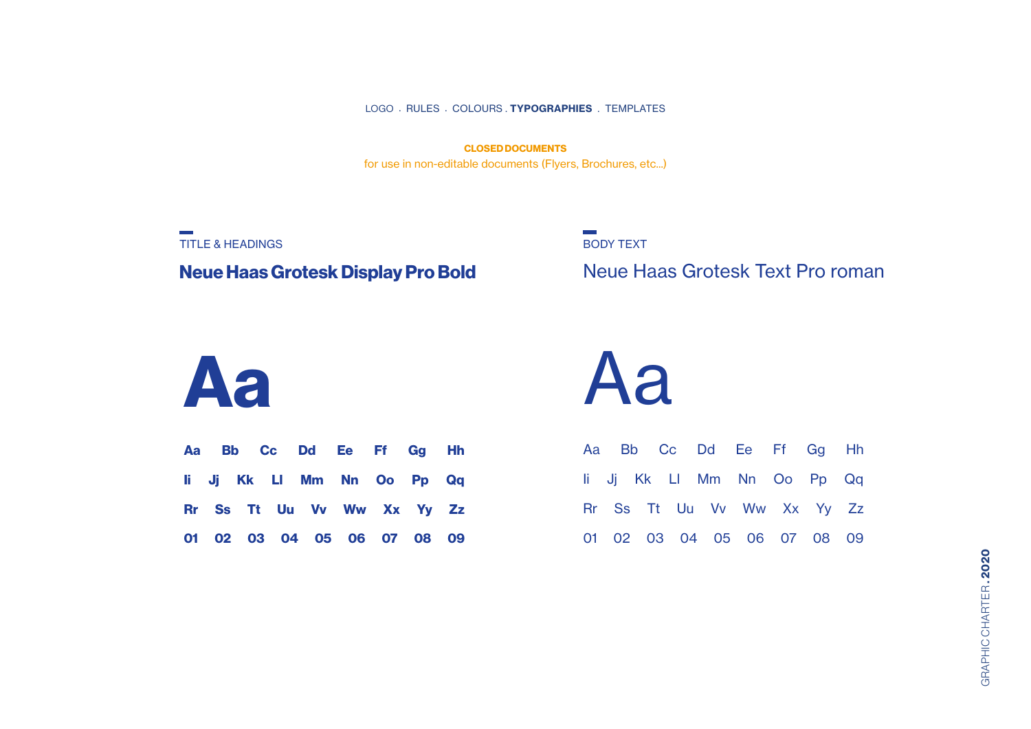for use in non-editable documents (Flyers, Brochures, etc...) **CLOSED DOCUMENTS**

TITLE & HEADINGS **Neue Haas Grotesk Display Pro Bold**

BODY TEXT

Neue Haas Grotesk Text Pro roman

# **Aa**

|  |  | Aa Bb Cc Dd Ee Ff Gg Hh    |  |  |
|--|--|----------------------------|--|--|
|  |  | li Jj Kk Ll Mm Nn Oo Pp Qq |  |  |
|  |  | Rr Ss Tt Uu Vv Ww Xx Yy Zz |  |  |
|  |  | 01 02 03 04 05 06 07 08 09 |  |  |

Aa

|  |  |  | Aa Bb Cc Dd Ee Ff Gg Hh    |  |
|--|--|--|----------------------------|--|
|  |  |  | li Jj Kk Ll Mm Nn Oo Pp Qq |  |
|  |  |  | Rr Ss Tt Uu Vv Ww Xx Yy Zz |  |
|  |  |  | 01 02 03 04 05 06 07 08 09 |  |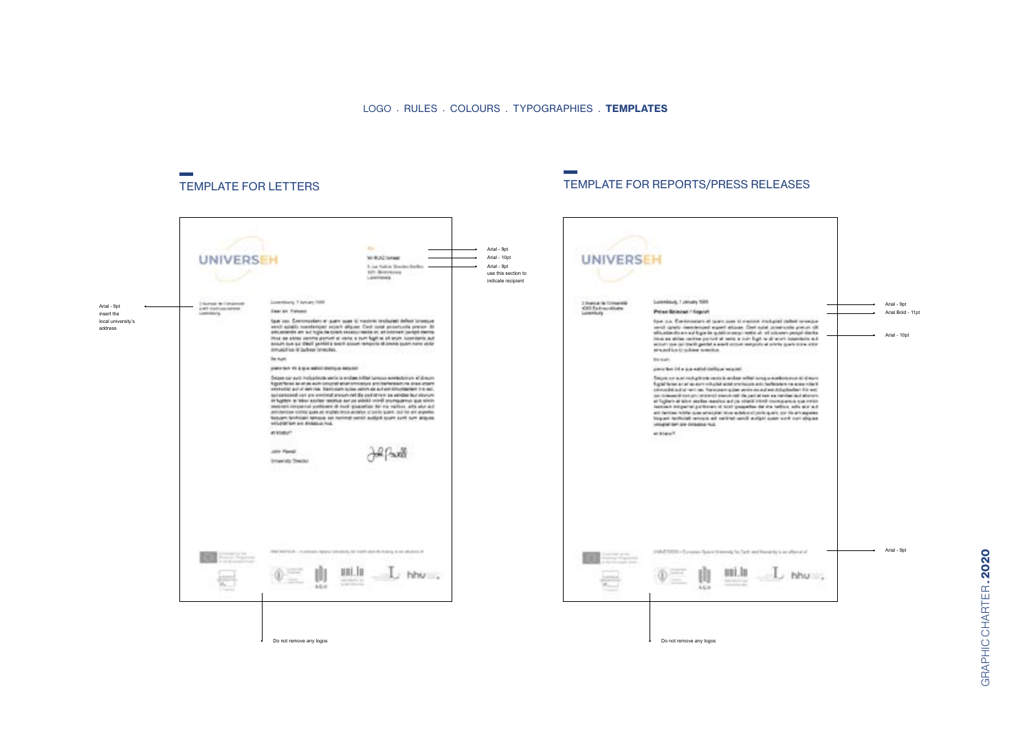#### TEMPLATE FOR LETTERS TEMPLATE FOR REPORTS/PRESS RELEASES

**Contract** 

#### $\sim$ Arial - 9pt **M-RAZISHME** Arial - 10pt **UNIVERS** UNIVERSEH It was that in the class finally Arial - 9pt **All Bearing** use this section to Lawrence indicate recipient Luxeman, 1 January 1988 | Suiteas de l'August<br>| Kalifornia (1979)<br>| Limitaria **London Court 100** 3 Funka in Criticiani<br>CRI Extrauristante Arial - 9pt Arial - 9pt **Basist Forest** Press Bracket Through insert the Arial Bold - 11pt Note and Continuation or more uses it masses tradicable defined temporal subsets and supply constraints record and continuation of the same dependent of the same of the same of the same of the same of the same of the same local university's too as Concorner at our completence industrialed around The contribution of the contribution of the contribution of the contribution of the contribution of the principal contribution of the contribution of the contribution of the contribution of the contribution of the contrib address Arial - 10pt struction of Subra Teracles. to sun. **British** painters for the paint water station assistant presidential a guarantee inclusor related. Suppose the main endepticals such a subject to the interpretations and of the first contained of the first state of the late of the late of the state of the state of the state of the state of the state of the state of the Dependant modulation with involvemental system exhibition of directs STORY WAS ARRESTED FOR STATISTICS AND ANNOUNCED AND INTERNATIONAL AND COMPANY. materials are polynomial and all paid three as emitted for the control procedure of the paid three as emitted for the control of the control of the control of the control of the control of the control of the control of th integral tart are determined too. arkstor? armount John Plangt 山口城 University Director Arial - 9pt $\overline{\phantom{a}}$ DECARTED - hydrogen space have enjoy for both dentitionary is on diverse of 10 MATERIAL Excess Class this work for Carl and Haracky to an after at all 10 三十二 典  $\frac{\text{min.} \ln \pi}{\text{min.}}$  $\Phi =$  $L$  hhu $\ldots$  $\Phi =$ 血 noi.lu  $\perp$  hhu $\ldots$ 计 Do not remove any logos Do not remove any logos

GRAPHIC CHARTER.2020 GRAPHIC CHARTER **. 2020**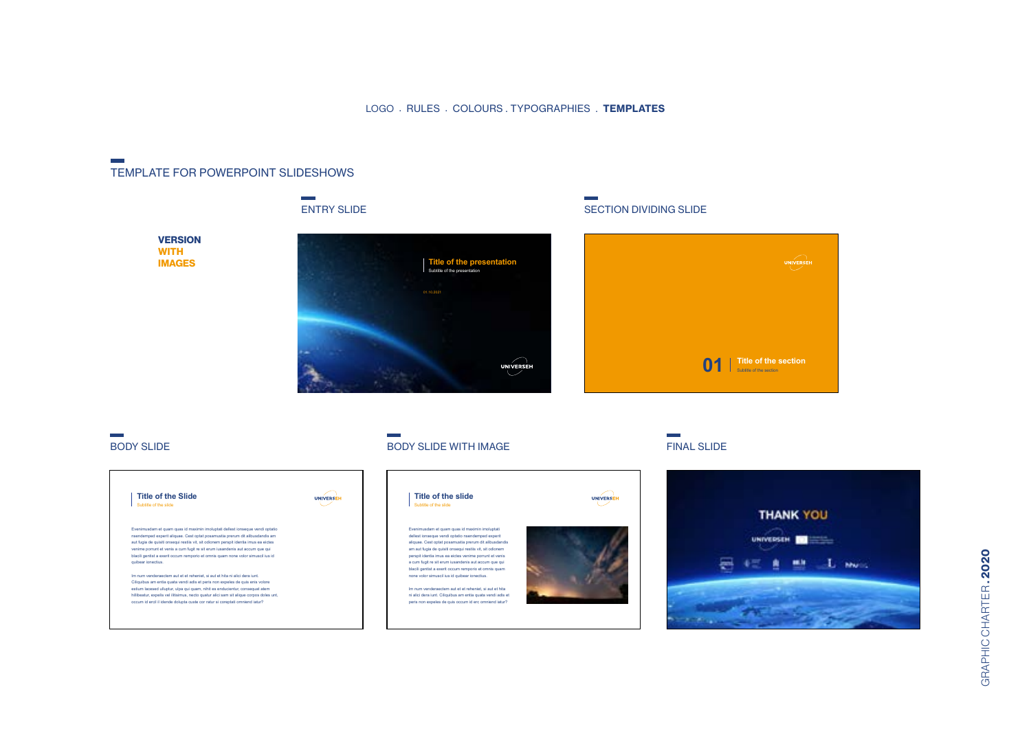